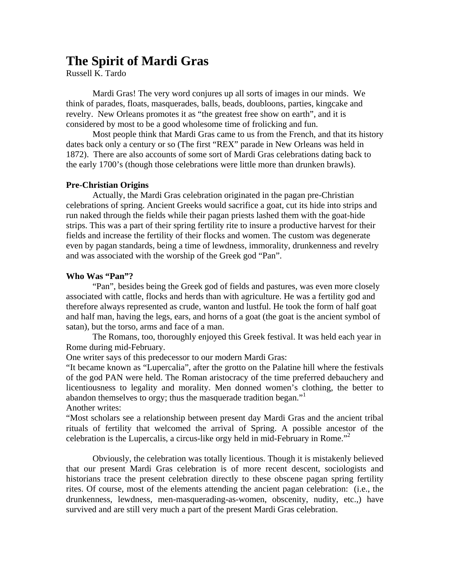# **The Spirit of Mardi Gras**

Russell K. Tardo

Mardi Gras! The very word conjures up all sorts of images in our minds. We think of parades, floats, masquerades, balls, beads, doubloons, parties, kingcake and revelry. New Orleans promotes it as "the greatest free show on earth", and it is considered by most to be a good wholesome time of frolicking and fun.

Most people think that Mardi Gras came to us from the French, and that its history dates back only a century or so (The first "REX" parade in New Orleans was held in 1872). There are also accounts of some sort of Mardi Gras celebrations dating back to the early 1700's (though those celebrations were little more than drunken brawls).

## **Pre-Christian Origins**

 Actually, the Mardi Gras celebration originated in the pagan pre-Christian celebrations of spring. Ancient Greeks would sacrifice a goat, cut its hide into strips and run naked through the fields while their pagan priests lashed them with the goat-hide strips. This was a part of their spring fertility rite to insure a productive harvest for their fields and increase the fertility of their flocks and women. The custom was degenerate even by pagan standards, being a time of lewdness, immorality, drunkenness and revelry and was associated with the worship of the Greek god "Pan".

## **Who Was "Pan"?**

 "Pan", besides being the Greek god of fields and pastures, was even more closely associated with cattle, flocks and herds than with agriculture. He was a fertility god and therefore always represented as crude, wanton and lustful. He took the form of half goat and half man, having the legs, ears, and horns of a goat (the goat is the ancient symbol of satan), but the torso, arms and face of a man.

 The Romans, too, thoroughly enjoyed this Greek festival. It was held each year in Rome during mid-February.

One writer says of this predecessor to our modern Mardi Gras:

"It became known as "Lupercalia", after the grotto on the Palatine hill where the festivals of the god PAN were held. The Roman aristocracy of the time preferred debauchery and licentiousness to legality and morality. Men donned women's clothing, the better to abandon themselves to orgy; thus the masquerade tradition began."<sup>1</sup> Another writes:

"Most scholars see a relationship between present day Mardi Gras and the ancient tribal rituals of fertility that welcomed the arrival of Spring. A possible ancestor of the celebration is the Lupercalis, a circus-like orgy held in mid-February in Rome.<sup> $2$ </sup>

 Obviously, the celebration was totally licentious. Though it is mistakenly believed that our present Mardi Gras celebration is of more recent descent, sociologists and historians trace the present celebration directly to these obscene pagan spring fertility rites. Of course, most of the elements attending the ancient pagan celebration: (i.e., the drunkenness, lewdness, men-masquerading-as-women, obscenity, nudity, etc.,) have survived and are still very much a part of the present Mardi Gras celebration.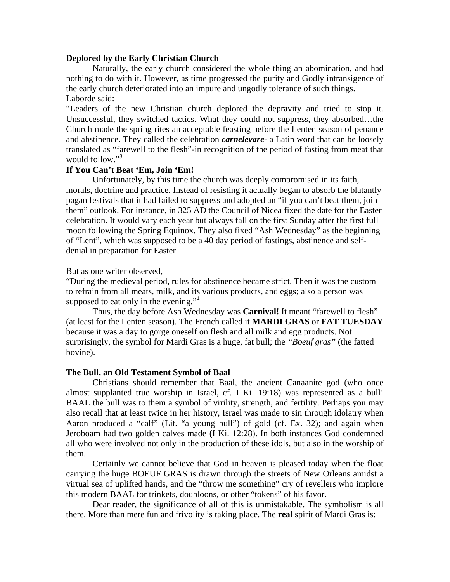## **Deplored by the Early Christian Church**

Naturally, the early church considered the whole thing an abomination, and had nothing to do with it. However, as time progressed the purity and Godly intransigence of the early church deteriorated into an impure and ungodly tolerance of such things. Laborde said:

"Leaders of the new Christian church deplored the depravity and tried to stop it. Unsuccessful, they switched tactics. What they could not suppress, they absorbed…the Church made the spring rites an acceptable feasting before the Lenten season of penance and abstinence. They called the celebration *carnelevare*- a Latin word that can be loosely translated as "farewell to the flesh"-in recognition of the period of fasting from meat that would follow."<sup>3</sup>

# **If You Can't Beat 'Em, Join 'Em!**

 Unfortunately, by this time the church was deeply compromised in its faith, morals, doctrine and practice. Instead of resisting it actually began to absorb the blatantly pagan festivals that it had failed to suppress and adopted an "if you can't beat them, join them" outlook. For instance, in 325 AD the Council of Nicea fixed the date for the Easter celebration. It would vary each year but always fall on the first Sunday after the first full moon following the Spring Equinox. They also fixed "Ash Wednesday" as the beginning of "Lent", which was supposed to be a 40 day period of fastings, abstinence and selfdenial in preparation for Easter.

## But as one writer observed,

"During the medieval period, rules for abstinence became strict. Then it was the custom to refrain from all meats, milk, and its various products, and eggs; also a person was supposed to eat only in the evening." $4$ 

 Thus, the day before Ash Wednesday was **Carnival!** It meant "farewell to flesh" (at least for the Lenten season). The French called it **MARDI GRAS** or **FAT TUESDAY**  because it was a day to gorge oneself on flesh and all milk and egg products. Not surprisingly, the symbol for Mardi Gras is a huge, fat bull; the *"Boeuf gras"* (the fatted bovine).

#### **The Bull, an Old Testament Symbol of Baal**

 Christians should remember that Baal, the ancient Canaanite god (who once almost supplanted true worship in Israel, cf. I Ki. 19:18) was represented as a bull! BAAL the bull was to them a symbol of virility, strength, and fertility. Perhaps you may also recall that at least twice in her history, Israel was made to sin through idolatry when Aaron produced a "calf" (Lit. "a young bull") of gold (cf. Ex. 32); and again when Jeroboam had two golden calves made (I Ki. 12:28). In both instances God condemned all who were involved not only in the production of these idols, but also in the worship of them.

 Certainly we cannot believe that God in heaven is pleased today when the float carrying the huge BOEUF GRAS is drawn through the streets of New Orleans amidst a virtual sea of uplifted hands, and the "throw me something" cry of revellers who implore this modern BAAL for trinkets, doubloons, or other "tokens" of his favor.

 Dear reader, the significance of all of this is unmistakable. The symbolism is all there. More than mere fun and frivolity is taking place. The **real** spirit of Mardi Gras is: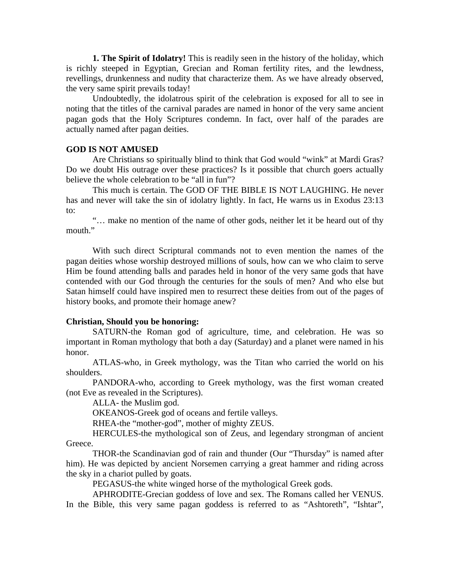**1. The Spirit of Idolatry!** This is readily seen in the history of the holiday, which is richly steeped in Egyptian, Grecian and Roman fertility rites, and the lewdness, revellings, drunkenness and nudity that characterize them. As we have already observed, the very same spirit prevails today!

Undoubtedly, the idolatrous spirit of the celebration is exposed for all to see in noting that the titles of the carnival parades are named in honor of the very same ancient pagan gods that the Holy Scriptures condemn. In fact, over half of the parades are actually named after pagan deities.

## **GOD IS NOT AMUSED**

 Are Christians so spiritually blind to think that God would "wink" at Mardi Gras? Do we doubt His outrage over these practices? Is it possible that church goers actually believe the whole celebration to be "all in fun"?

 This much is certain. The GOD OF THE BIBLE IS NOT LAUGHING. He never has and never will take the sin of idolatry lightly. In fact, He warns us in Exodus 23:13 to:

 "… make no mention of the name of other gods, neither let it be heard out of thy mouth."

 With such direct Scriptural commands not to even mention the names of the pagan deities whose worship destroyed millions of souls, how can we who claim to serve Him be found attending balls and parades held in honor of the very same gods that have contended with our God through the centuries for the souls of men? And who else but Satan himself could have inspired men to resurrect these deities from out of the pages of history books, and promote their homage anew?

#### **Christian, Should you be honoring:**

 SATURN-the Roman god of agriculture, time, and celebration. He was so important in Roman mythology that both a day (Saturday) and a planet were named in his honor.

 ATLAS-who, in Greek mythology, was the Titan who carried the world on his shoulders.

 PANDORA-who, according to Greek mythology, was the first woman created (not Eve as revealed in the Scriptures).

ALLA- the Muslim god.

OKEANOS-Greek god of oceans and fertile valleys.

RHEA-the "mother-god", mother of mighty ZEUS.

 HERCULES-the mythological son of Zeus, and legendary strongman of ancient Greece.

 THOR-the Scandinavian god of rain and thunder (Our "Thursday" is named after him). He was depicted by ancient Norsemen carrying a great hammer and riding across the sky in a chariot pulled by goats.

PEGASUS-the white winged horse of the mythological Greek gods.

 APHRODITE-Grecian goddess of love and sex. The Romans called her VENUS. In the Bible, this very same pagan goddess is referred to as "Ashtoreth", "Ishtar",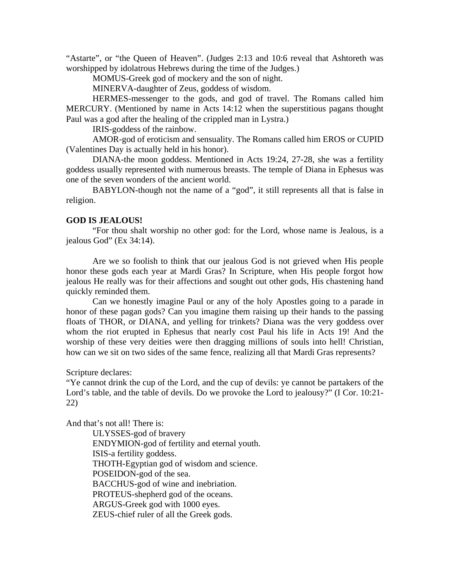"Astarte", or "the Queen of Heaven". (Judges 2:13 and 10:6 reveal that Ashtoreth was worshipped by idolatrous Hebrews during the time of the Judges.)

MOMUS-Greek god of mockery and the son of night.

MINERVA-daughter of Zeus, goddess of wisdom.

 HERMES-messenger to the gods, and god of travel. The Romans called him MERCURY. (Mentioned by name in Acts 14:12 when the superstitious pagans thought Paul was a god after the healing of the crippled man in Lystra.)

IRIS-goddess of the rainbow.

 AMOR-god of eroticism and sensuality. The Romans called him EROS or CUPID (Valentines Day is actually held in his honor).

 DIANA-the moon goddess. Mentioned in Acts 19:24, 27-28, she was a fertility goddess usually represented with numerous breasts. The temple of Diana in Ephesus was one of the seven wonders of the ancient world.

 BABYLON-though not the name of a "god", it still represents all that is false in religion.

## **GOD IS JEALOUS!**

 "For thou shalt worship no other god: for the Lord, whose name is Jealous, is a jealous God" (Ex 34:14).

 Are we so foolish to think that our jealous God is not grieved when His people honor these gods each year at Mardi Gras? In Scripture, when His people forgot how jealous He really was for their affections and sought out other gods, His chastening hand quickly reminded them.

 Can we honestly imagine Paul or any of the holy Apostles going to a parade in honor of these pagan gods? Can you imagine them raising up their hands to the passing floats of THOR, or DIANA, and yelling for trinkets? Diana was the very goddess over whom the riot erupted in Ephesus that nearly cost Paul his life in Acts 19! And the worship of these very deities were then dragging millions of souls into hell! Christian, how can we sit on two sides of the same fence, realizing all that Mardi Gras represents?

Scripture declares:

"Ye cannot drink the cup of the Lord, and the cup of devils: ye cannot be partakers of the Lord's table, and the table of devils. Do we provoke the Lord to jealousy?" (I Cor. 10:21- 22)

And that's not all! There is:

 ULYSSES-god of bravery ENDYMION-god of fertility and eternal youth. ISIS-a fertility goddess. THOTH-Egyptian god of wisdom and science. POSEIDON-god of the sea. BACCHUS-god of wine and inebriation. PROTEUS-shepherd god of the oceans. ARGUS-Greek god with 1000 eyes. ZEUS-chief ruler of all the Greek gods.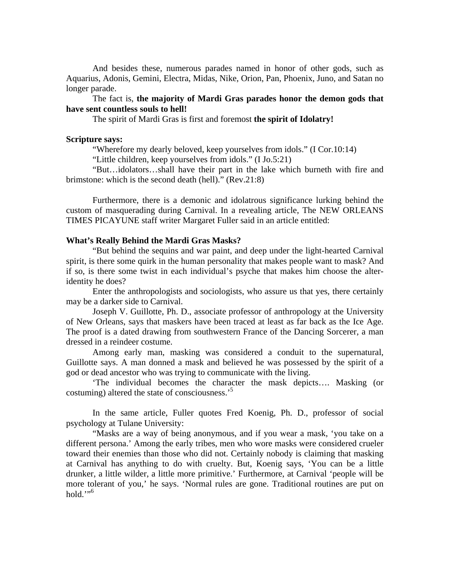And besides these, numerous parades named in honor of other gods, such as Aquarius, Adonis, Gemini, Electra, Midas, Nike, Orion, Pan, Phoenix, Juno, and Satan no longer parade.

# The fact is, **the majority of Mardi Gras parades honor the demon gods that have sent countless souls to hell!**

The spirit of Mardi Gras is first and foremost **the spirit of Idolatry!** 

#### **Scripture says:**

"Wherefore my dearly beloved, keep yourselves from idols." (I Cor.10:14)

"Little children, keep yourselves from idols." (I Jo.5:21)

 "But…idolators…shall have their part in the lake which burneth with fire and brimstone: which is the second death (hell)." (Rev.21:8)

 Furthermore, there is a demonic and idolatrous significance lurking behind the custom of masquerading during Carnival. In a revealing article, The NEW ORLEANS TIMES PICAYUNE staff writer Margaret Fuller said in an article entitled:

#### **What's Really Behind the Mardi Gras Masks?**

 "But behind the sequins and war paint, and deep under the light-hearted Carnival spirit, is there some quirk in the human personality that makes people want to mask? And if so, is there some twist in each individual's psyche that makes him choose the alteridentity he does?

 Enter the anthropologists and sociologists, who assure us that yes, there certainly may be a darker side to Carnival.

 Joseph V. Guillotte, Ph. D., associate professor of anthropology at the University of New Orleans, says that maskers have been traced at least as far back as the Ice Age. The proof is a dated drawing from southwestern France of the Dancing Sorcerer, a man dressed in a reindeer costume.

 Among early man, masking was considered a conduit to the supernatural, Guillotte says. A man donned a mask and believed he was possessed by the spirit of a god or dead ancestor who was trying to communicate with the living.

 'The individual becomes the character the mask depicts…. Masking (or costuming) altered the state of consciousness.'5

 In the same article, Fuller quotes Fred Koenig, Ph. D., professor of social psychology at Tulane University:

 "Masks are a way of being anonymous, and if you wear a mask, 'you take on a different persona.' Among the early tribes, men who wore masks were considered crueler toward their enemies than those who did not. Certainly nobody is claiming that masking at Carnival has anything to do with cruelty. But, Koenig says, 'You can be a little drunker, a little wilder, a little more primitive.' Furthermore, at Carnival 'people will be more tolerant of you,' he says. 'Normal rules are gone. Traditional routines are put on hold."<sup>6</sup>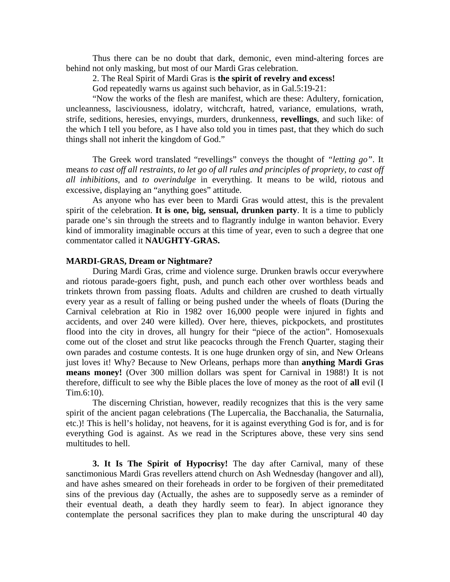Thus there can be no doubt that dark, demonic, even mind-altering forces are behind not only masking, but most of our Mardi Gras celebration.

2. The Real Spirit of Mardi Gras is **the spirit of revelry and excess!** 

God repeatedly warns us against such behavior, as in Gal.5:19-21:

 "Now the works of the flesh are manifest, which are these: Adultery, fornication, uncleanness, lasciviousness, idolatry, witchcraft, hatred, variance, emulations, wrath, strife, seditions, heresies, envyings, murders, drunkenness, **revellings**, and such like: of the which I tell you before, as I have also told you in times past, that they which do such things shall not inherit the kingdom of God."

 The Greek word translated "revellings" conveys the thought of *"letting go"*. It means *to cast off all restraints, to let go of all rules and principles of propriety, to cast off all inhibitions,* and *to overindulge* in everything. It means to be wild, riotous and excessive, displaying an "anything goes" attitude.

 As anyone who has ever been to Mardi Gras would attest, this is the prevalent spirit of the celebration. **It is one, big, sensual, drunken party**. It is a time to publicly parade one's sin through the streets and to flagrantly indulge in wanton behavior. Every kind of immorality imaginable occurs at this time of year, even to such a degree that one commentator called it **NAUGHTY-GRAS.** 

#### **MARDI-GRAS, Dream or Nightmare?**

During Mardi Gras, crime and violence surge. Drunken brawls occur everywhere and riotous parade-goers fight, push, and punch each other over worthless beads and trinkets thrown from passing floats. Adults and children are crushed to death virtually every year as a result of falling or being pushed under the wheels of floats (During the Carnival celebration at Rio in 1982 over 16,000 people were injured in fights and accidents, and over 240 were killed). Over here, thieves, pickpockets, and prostitutes flood into the city in droves, all hungry for their "piece of the action". Homosexuals come out of the closet and strut like peacocks through the French Quarter, staging their own parades and costume contests. It is one huge drunken orgy of sin, and New Orleans just loves it! Why? Because to New Orleans, perhaps more than **anything Mardi Gras means money!** (Over 300 million dollars was spent for Carnival in 1988!) It is not therefore, difficult to see why the Bible places the love of money as the root of **all** evil (I Tim.6:10).

 The discerning Christian, however, readily recognizes that this is the very same spirit of the ancient pagan celebrations (The Lupercalia, the Bacchanalia, the Saturnalia, etc.)! This is hell's holiday, not heavens, for it is against everything God is for, and is for everything God is against. As we read in the Scriptures above, these very sins send multitudes to hell.

**3. It Is The Spirit of Hypocrisy!** The day after Carnival, many of these sanctimonious Mardi Gras revellers attend church on Ash Wednesday (hangover and all), and have ashes smeared on their foreheads in order to be forgiven of their premeditated sins of the previous day (Actually, the ashes are to supposedly serve as a reminder of their eventual death, a death they hardly seem to fear). In abject ignorance they contemplate the personal sacrifices they plan to make during the unscriptural 40 day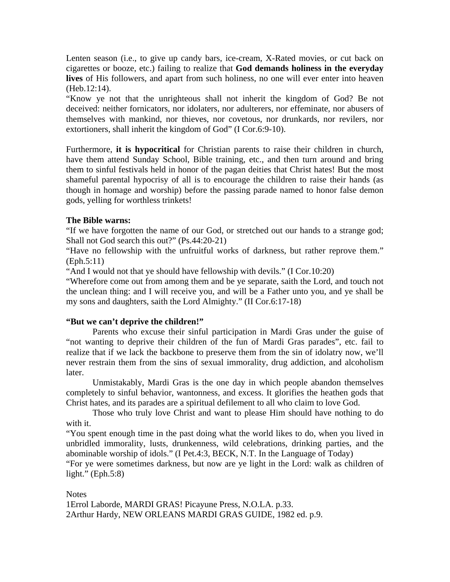Lenten season (i.e., to give up candy bars, ice-cream, X-Rated movies, or cut back on cigarettes or booze, etc.) failing to realize that **God demands holiness in the everyday lives** of His followers, and apart from such holiness, no one will ever enter into heaven (Heb.12:14).

"Know ye not that the unrighteous shall not inherit the kingdom of God? Be not deceived: neither fornicators, nor idolaters, nor adulterers, nor effeminate, nor abusers of themselves with mankind, nor thieves, nor covetous, nor drunkards, nor revilers, nor extortioners, shall inherit the kingdom of God" (I Cor.6:9-10).

Furthermore, **it is hypocritical** for Christian parents to raise their children in church, have them attend Sunday School, Bible training, etc., and then turn around and bring them to sinful festivals held in honor of the pagan deities that Christ hates! But the most shameful parental hypocrisy of all is to encourage the children to raise their hands (as though in homage and worship) before the passing parade named to honor false demon gods, yelling for worthless trinkets!

# **The Bible warns:**

"If we have forgotten the name of our God, or stretched out our hands to a strange god; Shall not God search this out?" (Ps.44:20-21)

"Have no fellowship with the unfruitful works of darkness, but rather reprove them." (Eph.5:11)

"And I would not that ye should have fellowship with devils." (I Cor.10:20)

"Wherefore come out from among them and be ye separate, saith the Lord, and touch not the unclean thing: and I will receive you, and will be a Father unto you, and ye shall be my sons and daughters, saith the Lord Almighty." (II Cor.6:17-18)

# **"But we can't deprive the children!"**

 Parents who excuse their sinful participation in Mardi Gras under the guise of "not wanting to deprive their children of the fun of Mardi Gras parades", etc. fail to realize that if we lack the backbone to preserve them from the sin of idolatry now, we'll never restrain them from the sins of sexual immorality, drug addiction, and alcoholism later.

 Unmistakably, Mardi Gras is the one day in which people abandon themselves completely to sinful behavior, wantonness, and excess. It glorifies the heathen gods that Christ hates, and its parades are a spiritual defilement to all who claim to love God.

 Those who truly love Christ and want to please Him should have nothing to do with it.

"You spent enough time in the past doing what the world likes to do, when you lived in unbridled immorality, lusts, drunkenness, wild celebrations, drinking parties, and the abominable worship of idols." (I Pet.4:3, BECK, N.T. In the Language of Today)

"For ye were sometimes darkness, but now are ye light in the Lord: walk as children of light."  $(Eph.5:8)$ 

# **Notes**

1Errol Laborde, MARDI GRAS! Picayune Press, N.O.LA. p.33. 2Arthur Hardy, NEW ORLEANS MARDI GRAS GUIDE, 1982 ed. p.9.